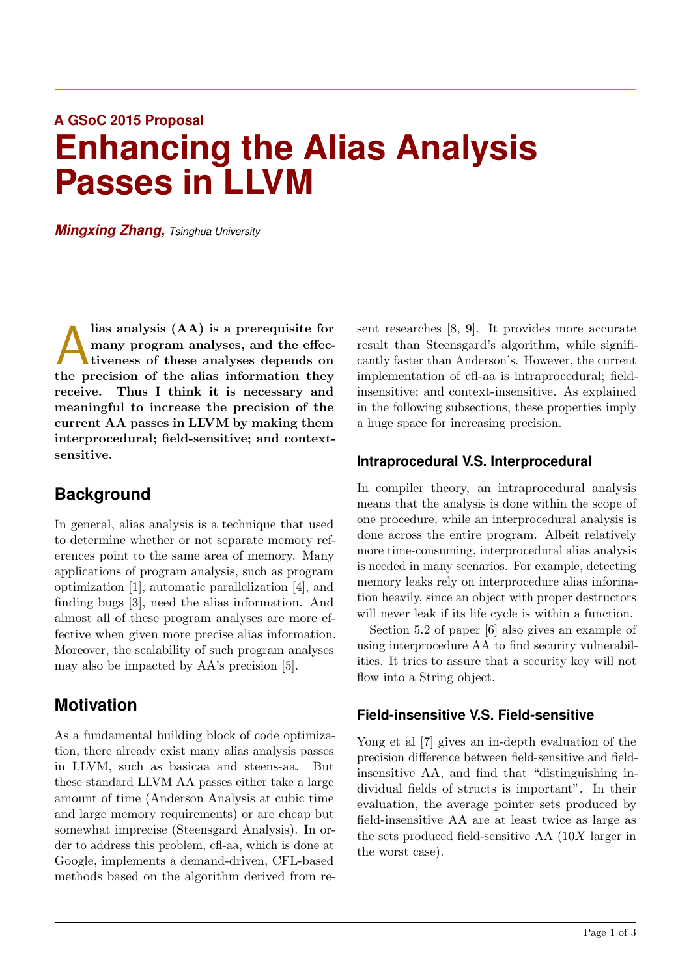# **A GSoC 2015 Proposal Enhancing the Alias Analysis Passes in LLVM**

*Mingxing Zhang, Tsinghua University*

lias analysis (AA) is a prerequisite for<br>many program analyses, and the effec-<br>tiveness of these analyses depends on<br>the precision of the alias information they lias analysis (AA) is a prerequisite for many program analyses, and the effectiveness of these analyses depends on receive. Thus I think it is necessary and meaningful to increase the precision of the current AA passes in LLVM by making them interprocedural; field-sensitive; and contextsensitive.

## **Background**

In general, alias analysis is a technique that used to determine whether or not separate memory references point to the same area of memory. Many applications of program analysis, such as program optimization [1], automatic parallelization [4], and finding bugs [3], need the alias information. And almost all of these program analyses are more effective when given more precise alias information. Moreover, the scalability of such program analyses may also be impacted by AA's precision [5].

### **Motivation**

As a fundamental building block of code optimization, there already exist many alias analysis passes in LLVM, such as basicaa and steens-aa. But these standard LLVM AA passes either take a large amount of time (Anderson Analysis at cubic time and large memory requirements) or are cheap but somewhat imprecise (Steensgard Analysis). In order to address this problem, cfl-aa, which is done at Google, implements a demand-driven, CFL-based methods based on the algorithm derived from resent researches [8, 9]. It provides more accurate result than Steensgard's algorithm, while significantly faster than Anderson's. However, the current implementation of cfl-aa is intraprocedural; fieldinsensitive; and context-insensitive. As explained in the following subsections, these properties imply a huge space for increasing precision.

#### **Intraprocedural V.S. Interprocedural**

In compiler theory, an intraprocedural analysis means that the analysis is done within the scope of one procedure, while an interprocedural analysis is done across the entire program. Albeit relatively more time-consuming, interprocedural alias analysis is needed in many scenarios. For example, detecting memory leaks rely on interprocedure alias information heavily, since an object with proper destructors will never leak if its life cycle is within a function.

Section 5.2 of paper [6] also gives an example of using interprocedure AA to find security vulnerabilities. It tries to assure that a security key will not flow into a String object.

#### **Field-insensitive V.S. Field-sensitive**

Yong et al [7] gives an in-depth evaluation of the precision difference between field-sensitive and fieldinsensitive AA, and find that "distinguishing individual fields of structs is important". In their evaluation, the average pointer sets produced by field-insensitive AA are at least twice as large as the sets produced field-sensitive AA (10X larger in the worst case).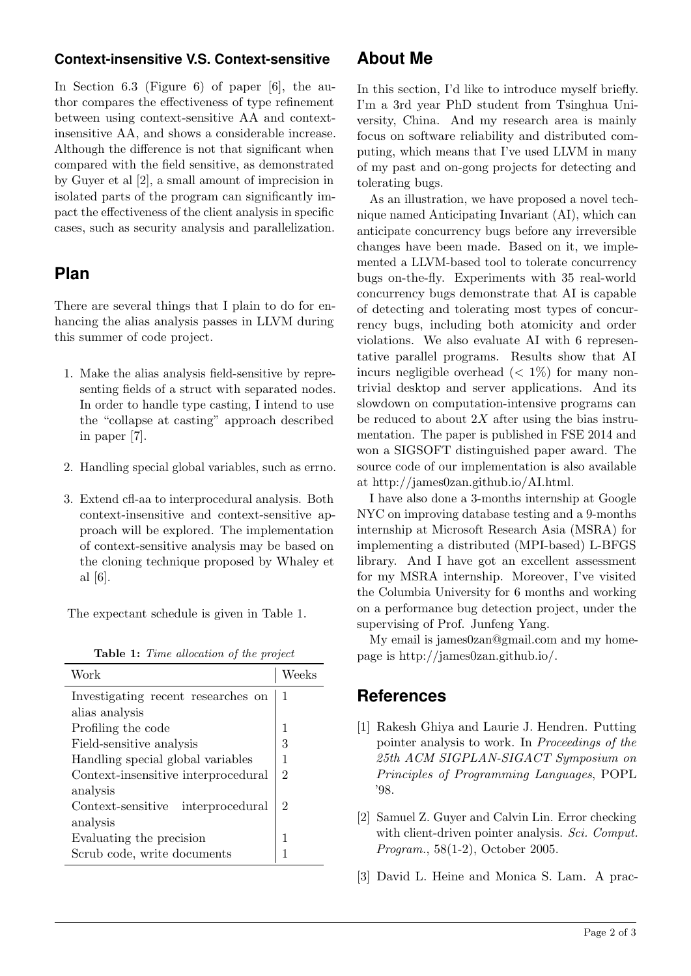## **Context-insensitive V.S. Context-sensitive**

In Section 6.3 (Figure 6) of paper [6], the author compares the effectiveness of type refinement between using context-sensitive AA and contextinsensitive AA, and shows a considerable increase. Although the difference is not that significant when compared with the field sensitive, as demonstrated by Guyer et al [2], a small amount of imprecision in isolated parts of the program can significantly impact the effectiveness of the client analysis in specific cases, such as security analysis and parallelization.

## **Plan**

There are several things that I plain to do for enhancing the alias analysis passes in LLVM during this summer of code project.

- 1. Make the alias analysis field-sensitive by representing fields of a struct with separated nodes. In order to handle type casting, I intend to use the "collapse at casting" approach described in paper [7].
- 2. Handling special global variables, such as errno.
- 3. Extend cfl-aa to interprocedural analysis. Both context-insensitive and context-sensitive approach will be explored. The implementation of context-sensitive analysis may be based on the cloning technique proposed by Whaley et al [6].

The expectant schedule is given in Table 1.

| Table 1: Time allocation of the project |  |  |  |
|-----------------------------------------|--|--|--|
|-----------------------------------------|--|--|--|

| Work                                |   |
|-------------------------------------|---|
| Investigating recent researches on  | 1 |
| alias analysis                      |   |
| Profiling the code                  |   |
| Field-sensitive analysis            | 3 |
| Handling special global variables   |   |
| Context-insensitive interprocedural | 2 |
| analysis                            |   |
| Context-sensitive interprocedural   | 2 |
| analysis                            |   |
| Evaluating the precision            |   |
| Scrub code, write documents         |   |

# **About Me**

In this section, I'd like to introduce myself briefly. I'm a 3rd year PhD student from Tsinghua University, China. And my research area is mainly focus on software reliability and distributed computing, which means that I've used LLVM in many of my past and on-gong projects for detecting and tolerating bugs.

As an illustration, we have proposed a novel technique named Anticipating Invariant (AI), which can anticipate concurrency bugs before any irreversible changes have been made. Based on it, we implemented a LLVM-based tool to tolerate concurrency bugs on-the-fly. Experiments with 35 real-world concurrency bugs demonstrate that AI is capable of detecting and tolerating most types of concurrency bugs, including both atomicity and order violations. We also evaluate AI with 6 representative parallel programs. Results show that AI incurs negligible overhead  $(< 1\%)$  for many nontrivial desktop and server applications. And its slowdown on computation-intensive programs can be reduced to about  $2X$  after using the bias instrumentation. The paper is published in FSE 2014 and won a SIGSOFT distinguished paper award. The source code of our implementation is also available at http://james0zan.github.io/AI.html.

I have also done a 3-months internship at Google NYC on improving database testing and a 9-months internship at Microsoft Research Asia (MSRA) for implementing a distributed (MPI-based) L-BFGS library. And I have got an excellent assessment for my MSRA internship. Moreover, I've visited the Columbia University for 6 months and working on a performance bug detection project, under the supervising of Prof. Junfeng Yang.

My email is james0zan@gmail.com and my homepage is http://james0zan.github.io/.

# **References**

- [1] Rakesh Ghiya and Laurie J. Hendren. Putting pointer analysis to work. In Proceedings of the 25th ACM SIGPLAN-SIGACT Symposium on Principles of Programming Languages, POPL '98.
- [2] Samuel Z. Guyer and Calvin Lin. Error checking with client-driven pointer analysis. Sci. Comput. Program., 58(1-2), October 2005.
- [3] David L. Heine and Monica S. Lam. A prac-